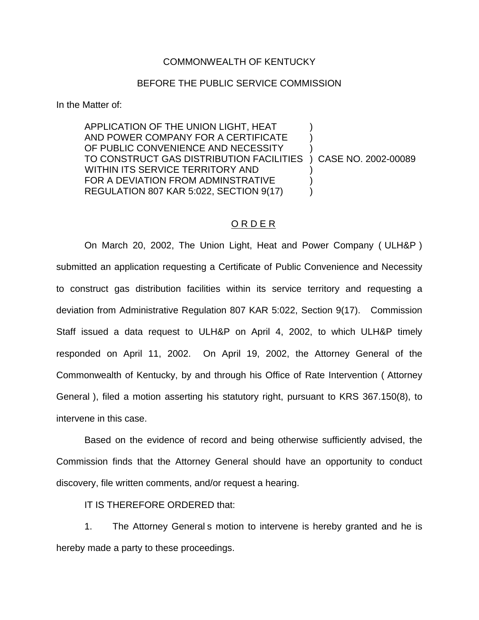## COMMONWEALTH OF KENTUCKY

## BEFORE THE PUBLIC SERVICE COMMISSION

In the Matter of:

APPLICATION OF THE UNION LIGHT, HEAT ) AND POWER COMPANY FOR A CERTIFICATE OF PUBLIC CONVENIENCE AND NECESSITY TO CONSTRUCT GAS DISTRIBUTION FACILITIES ) CASE NO. 2002-00089 WITHIN ITS SERVICE TERRITORY AND FOR A DEVIATION FROM ADMINSTRATIVE  $\qquad \qquad$  ) REGULATION 807 KAR 5:022, SECTION 9(17) )

## O R D E R

On March 20, 2002, The Union Light, Heat and Power Company ( ULH&P ) submitted an application requesting a Certificate of Public Convenience and Necessity to construct gas distribution facilities within its service territory and requesting a deviation from Administrative Regulation 807 KAR 5:022, Section 9(17). Commission Staff issued a data request to ULH&P on April 4, 2002, to which ULH&P timely responded on April 11, 2002. On April 19, 2002, the Attorney General of the Commonwealth of Kentucky, by and through his Office of Rate Intervention ( Attorney General ), filed a motion asserting his statutory right, pursuant to KRS 367.150(8), to intervene in this case.

Based on the evidence of record and being otherwise sufficiently advised, the Commission finds that the Attorney General should have an opportunity to conduct discovery, file written comments, and/or request a hearing.

IT IS THEREFORE ORDERED that:

1. The Attorney General s motion to intervene is hereby granted and he is hereby made a party to these proceedings.